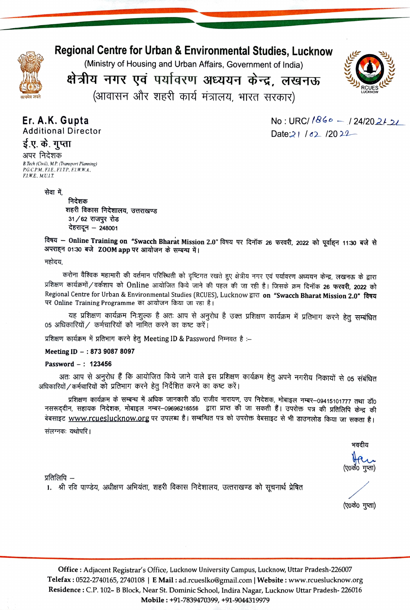

# Regional Centre for Urban & Environmental Studies, Lucknow

(Ministry of Housing and Urban Afairs, Government of India)



क्षेत्रीय नगर एवं पर्यावरण अध्ययन केन्द्र, लखनऊ (आवासन और शहरी कार्य मंत्रालय, भारत सरकार)

Er. A.K. Gupta Additional Director

0 No : URC/*184• — 1* 24/2021<mark>.</mark> Date  $21/62/2022$ 

ई.ए. के. गुप्ता अपर निदेशक B.Tech (Civil), M.P. (Tramsport Planning) P.G.C.P.M., F.I.E., F.I.T.P., F.I.W.W.A., FI.E., M.U.I.T.

सेवा में,

निदेशक शहरी विकास निदेशालय, उत्तराखण्ड  $31/62$  राजपुर रोड देहरादून – 248001

विषय - Online Training on "Swacch Bharat Mission 2.0" विषय पर दिनॉक 26 फरवरी, 2022 को पूर्वाहन 11:30 बजे से अपराहन 01:30 बजे ZOOM app पर आयोजन के सम्बन्ध में।

महोदय,

करोना वैश्विक महामारी की वर्तमान परिस्थिती को दृष्टिगत रखते हुए क्षेत्रीय नगर एवं पर्यावरण अध्ययन केन्द्र, लखनऊ के द्वारा<br>प्रशिक्षण कार्यक्रमों / वर्कशाप को Online आयोजित किये जाने की पहल की जा रही है। जिसके क्रम दिनॉक 26 Regional Centre for Urban & Environmental Studies (RCUES), Lucknow FIRI on "Swacch Bharat Mission 2.0" विषय पर Online Training Programme का आयोजन किया जा रहा है।

यह प्रशिक्षण कार्यक्रम निःशुल्क है अतः आप से अनुरोध है उक्त प्रशिक्षण कार्यक्रम में प्रतिभाग करने हेतु सम्बंधित 05 अधिकारियों / कर्मचारियों को नामित करने का कष्ट करें।<br>प्रशिक्षण कार्यक्रम में प्रतिभाग करने हेतु Meeting ID & Password निम्नवत है :–

Meeting ID -: 873 9087 8097

### Password-: 123456

अतः आप से अनुरोध हैं कि आयोजित किये जाने वाले इस प्रशिक्षण कार्यक्रम हेतु अपने नगरीय निकायों से 05 संबंधित अधिकारियों / कर्मचारियों को प्रतिभाग करने हेतू निर्देशित करने का कष्ट करें।

प्रशिक्षण कार्यक्रम के सम्बन्ध में अधिक जानकारी डॉ0 राजीव नारायण, उप निदेशक, मोबाइल नम्बर-09415101777 तथा डॉ0 नसरूद्दीन, सहायक निदेशक, मोबाइल नम्बर–09696216556 द्वारा प्राप्त की जा सकती हैं। उपरोक्त पत्र की प्रतिलिपि केन्द्र की बेबसाइट www.rcueslucknow.org पर उपलब्ध है। सम्बन्धित पत्र को उपरोक्त वेबसाइट से भी डाउनलोड किया जा सकता है। संलग्नकः यथोपरि ।

भवदीय

(ए0कें0 गुप्ता)

प्रतिलिपि –

1. श्री रवि पाण्डेय, अधीक्षण अभियंता, शहरी विकास निदेशालय, उत्तराखण्ड को सूचनार्थ प्रेषित

(ए०के० गुप्ता)

Office: Adjacent Registrar's Office, Lucknow University Campus, Lucknow, Uttar Pradesh-226007 Telefax: 0522-2740165, 2740108 | E Mail : ad.rcueslko@gmail.com | Website: www.rcueslucknow.org Residence:C.P. 102- B Block, Near St. Dominic School, Indira Nagar, Lucknow Uttar Pradesh- 226016 Mobile:+91-7839470399, +91-9044319979